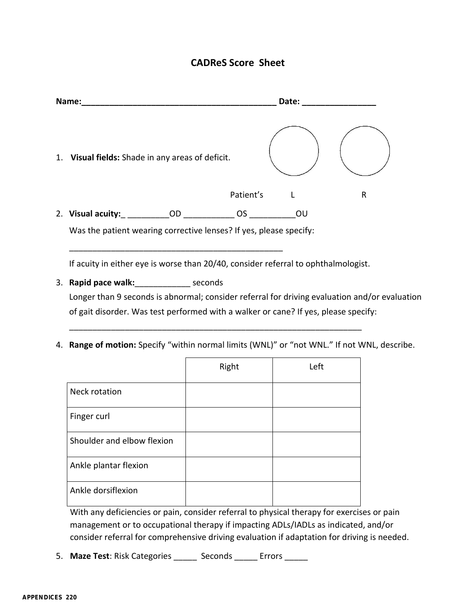## **CADReS Score Sheet**

| Name:                                                                               |                                                                                               | Date:     |    |   |  |
|-------------------------------------------------------------------------------------|-----------------------------------------------------------------------------------------------|-----------|----|---|--|
|                                                                                     | 1. Visual fields: Shade in any areas of deficit.                                              |           |    |   |  |
|                                                                                     |                                                                                               | Patient's |    | R |  |
|                                                                                     | 2. Visual acuity: OD                                                                          | <b>OS</b> | OU |   |  |
|                                                                                     | Was the patient wearing corrective lenses? If yes, please specify:                            |           |    |   |  |
|                                                                                     |                                                                                               |           |    |   |  |
|                                                                                     | If acuity in either eye is worse than 20/40, consider referral to ophthalmologist.            |           |    |   |  |
| 3.                                                                                  | Rapid pace walk:<br><u> reconds</u>                                                           |           |    |   |  |
|                                                                                     | Longer than 9 seconds is abnormal; consider referral for driving evaluation and/or evaluation |           |    |   |  |
| of gait disorder. Was test performed with a walker or cane? If yes, please specify: |                                                                                               |           |    |   |  |

4. **Range of motion:** Specify "within normal limits (WNL)" or "not WNL." If not WNL, describe.

|                            | Right | Left |
|----------------------------|-------|------|
| Neck rotation              |       |      |
| Finger curl                |       |      |
| Shoulder and elbow flexion |       |      |
| Ankle plantar flexion      |       |      |
| Ankle dorsiflexion         |       |      |

\_\_\_\_\_\_\_\_\_\_\_\_\_\_\_\_\_\_\_\_\_\_\_\_\_\_\_\_\_\_\_\_\_\_\_\_\_\_\_\_\_\_\_\_\_\_\_\_\_\_\_\_\_\_\_\_\_\_\_\_\_\_\_

With any deficiencies or pain, consider referral to physical therapy for exercises or pain management or to occupational therapy if impacting ADLs/IADLs as indicated, and/or consider referral for comprehensive driving evaluation if adaptation for driving is needed.

5. **Maze Test**: Risk Categories \_\_\_\_\_ Seconds \_\_\_\_\_ Errors \_\_\_\_\_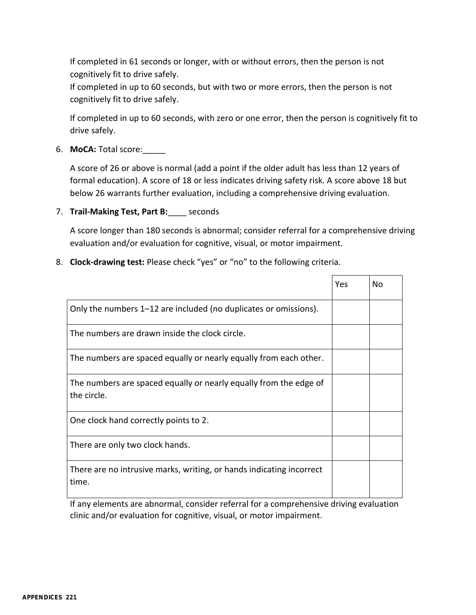If completed in 61 seconds or longer, with or without errors, then the person is not cognitively fit to drive safely.

If completed in up to 60 seconds, but with two or more errors, then the person is not cognitively fit to drive safely.

If completed in up to 60 seconds, with zero or one error, then the person is cognitively fit to drive safely.

6. **MoCA:** Total score:\_\_\_\_\_

A score of 26 or above is normal (add a point if the older adult has less than 12 years of formal education). A score of 18 or less indicates driving safety risk. A score above 18 but below 26 warrants further evaluation, including a comprehensive driving evaluation.

7. **Trail-Making Test, Part B:**\_\_\_\_ seconds

A score longer than 180 seconds is abnormal; consider referral for a comprehensive driving evaluation and/or evaluation for cognitive, visual, or motor impairment.

8. **Clock-drawing test:** Please check "yes" or "no" to the following criteria.

|                                                                                  | Yes | No |
|----------------------------------------------------------------------------------|-----|----|
| Only the numbers 1–12 are included (no duplicates or omissions).                 |     |    |
| The numbers are drawn inside the clock circle.                                   |     |    |
| The numbers are spaced equally or nearly equally from each other.                |     |    |
| The numbers are spaced equally or nearly equally from the edge of<br>the circle. |     |    |
| One clock hand correctly points to 2.                                            |     |    |
| There are only two clock hands.                                                  |     |    |
| There are no intrusive marks, writing, or hands indicating incorrect<br>time.    |     |    |

If any elements are abnormal, consider referral for a comprehensive driving evaluation clinic and/or evaluation for cognitive, visual, or motor impairment.